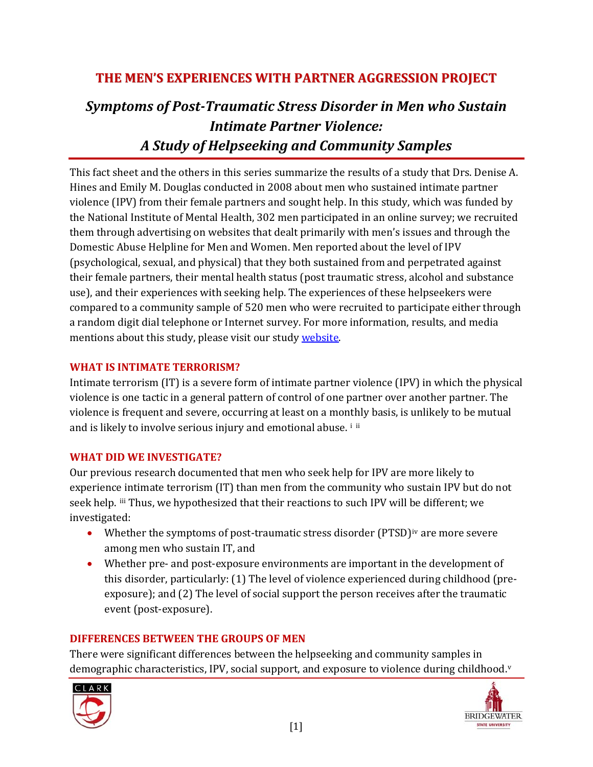# **THE MEN'S EXPERIENCES WITH PARTNER AGGRESSION PROJECT**

# *Symptoms of PostTraumatic Stress Disorder in Men who Sustain Intimate Partner Violence: A Study of Helpseeking and Community Samples*

This fact sheet and the others in this series summarize the results of a study that Drs. Denise A. Hines and Emily M. Douglas conducted in 2008 about men who sustained intimate partner violence (IPV) from their female partners and sought help. In this study, which was funded by the National Institute of Mental Health, 302 men participated in an online survey; we recruited them through advertising on websites that dealt primarily with men's issues and through the Domestic Abuse Helpline for Men and Women. Men reported about the level of IPV (psychological, sexual, and physical) that they both sustained from and perpetrated against their female partners, their mental health status (post traumatic stress, alcohol and substance use), and their experiences with seeking help. The experiences of these helpseekers were compared to a community sample of 520 men who were recruited to participate either through a random digit dial telephone or Internet survey. For more information, results, and media mentions about this study, please visit our study [website](http://www.clarku.edu/faculty/dhines/Mens%20Experiences%20with%20Partner%20Aggression%20Home%20Page.htm).

# **WHAT IS INTIMATE TERRORISM?**

Intimate terrorism (IT) is a severe form of intimate partner violence (IPV) in which the physical violence is one tactic in a general pattern of control of one partner over another partner. The violence is freque[nt](#page-3-0) and severe, occurring at least on a mont[hl](#page-3-1)y basis, is unlikely to be mutual and is likely to involve serious injury and emotional abuse. i ii

## **WHAT DID WE INVESTIGATE?**

Our previous research documented that men who seek help for IPV are more likely to experience intimate terrorism (IT) than men from the community who sustain IPV but do not seek help. iii Thus, we hypothesized that their reactions to such IPV will be different; we investig ated:

- Whether the symptoms of post-traumatic stress disorder  $(PTSD)<sup>iv</sup>$  are more severe among men who sustain IT, and
- Whether pre- and post-exposure environments are important in the development of this disorder, particularly: (1) The level of violence experienced during childhood (pre‐ exposure); and (2) The level of social support the person receives after the traumatic event (post‐exposure).

## **DIFFERENCES BETWEEN THE GROUPS OF MEN**

There were significant differences between the helpseeking and community samples in demographic characteristics, IPV, social support, and exposure to [v](#page-3-1)iolence during childhood.<sup>v</sup>



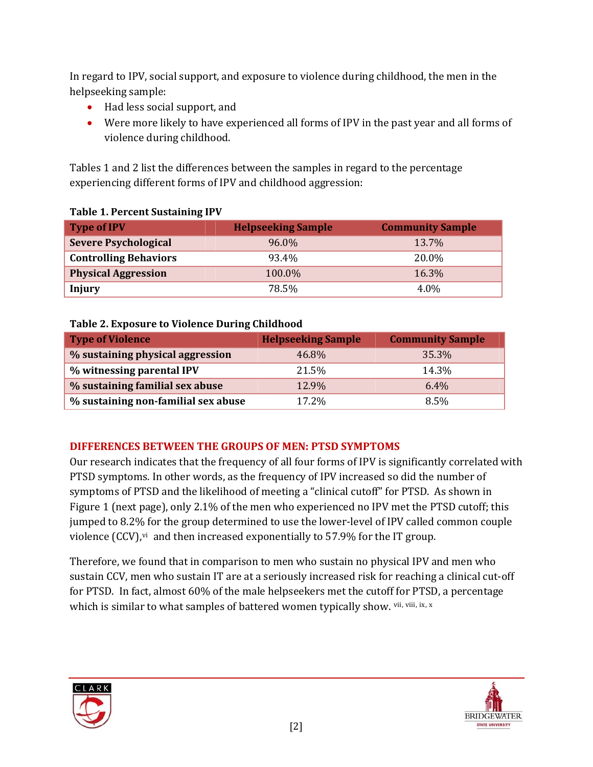In regard to IPV, social support, and exposure to violence during childhood, the men in the helpsee king sample:

- Had less social support, and
- Were more likely to have experienced all forms of IPV in the past year and all forms of violence during childhood.

Tables 1 and 2 list the differences between the samples in regard to the percentage experiencing different forms of IPV and childhood aggression:

| <b>Type of IPV</b>           | <b>Helpseeking Sample</b> | <b>Community Sample</b> |  |
|------------------------------|---------------------------|-------------------------|--|
| <b>Severe Psychological</b>  | 96.0%                     | 13.7%                   |  |
| <b>Controlling Behaviors</b> | 93.4%                     | 20.0%                   |  |
| <b>Physical Aggression</b>   | 100.0%                    | 16.3%                   |  |
| <b>Injury</b>                | 78.5%                     | 4.0%                    |  |

#### **Table 1. Percent Sustaining IPV**

#### **Table 2. Exposure to Violence During Childhood**

| <b>Type of Violence</b>             | <b>Helpseeking Sample</b> | <b>Community Sample</b> |
|-------------------------------------|---------------------------|-------------------------|
| % sustaining physical aggression    | 46.8%                     | 35.3%                   |
| % witnessing parental IPV           | 21.5%                     | 14.3%                   |
| % sustaining familial sex abuse     | 12.9%                     | $6.4\%$                 |
| % sustaining non-familial sex abuse | 17.2%                     | 8.5%                    |

# **DIFFERENCES BETWEEN THE GROUPS OF MEN: PTSD SYMPTOMS**

Our research indicates that the frequency of all four forms of IPV is significantly correlated with PTSD symptoms. In other words, as the frequency of IPV increased so did the number of symptoms of PTSD and the likelihood of meeting a "clinical cutoff" for PTSD. As shown in Figure 1 (next page), only 2.1% of the men who experienced no IPV met the PTSD cutoff; this jumped to 8.2% for the group determined to use the lower‐level of IPV called common couple [vi](#page-3-1)olence (CCV),<sup>vi</sup> and then increased exponentially to 57.9% for the IT group.

Therefore, we found that in comparison to men who sustain no physical IPV and men who sustain CCV, men who sustain IT are at a seriously increased risk for reaching a clinical cut‐off for PTSD. In fact, almost 60% of the male helpseekers met the cutoff [for PTSD](#page-3-1), a percentage which is similar to what samples of battered women typically show. Vii, Viii, ix, x



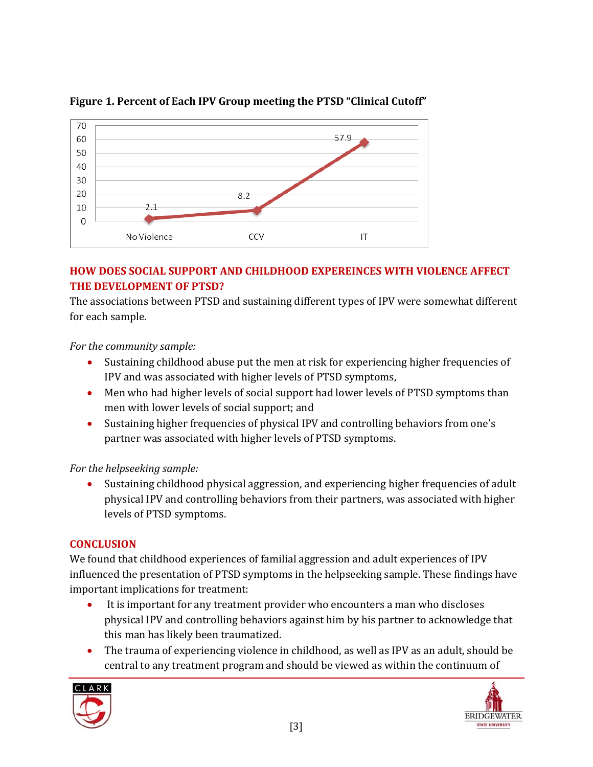

# **Figure 1. Percent of Each IPV Group meeting the PTSD "Clinical Cutoff"**

# **HOW DOES SOCIAL SUPPORT AND CHILDHOOD EXPEREINCES WITH VIOLENCE AFFECT THE DEVELOPMENT OF PTSD?**

The associations between PTSD and sustaining different types of IPV were somewhat different for each sample.

*For the community sample:* 

- Sustaining childhood abuse put the men at risk for experiencing higher frequencies of IPV and was associated with higher levels of PTSD symptoms,
- Men who had higher levels of social support had lower levels of PTSD symptoms than men with lower levels of social support; and
- Sustaining higher frequencies of physical IPV and controlling behaviors from one's partner was associated with higher levels of PTSD symptoms.

## *For the helpseeking sample:*

• Sustaining childhood physical aggression, and experiencing higher frequencies of adult physical IPV and controlling behaviors from their partners, was associated with higher levels of PTSD symptoms.

# **CONCLUSION**

We found that childhood experiences of familial aggression and adult experiences of IPV influenced the presentation of PTSD symptoms in the helpseeking sample. These findings have importa nt implications for treatment:

- It is important for any treatment provider who encounters a man who discloses physical IPV and controlling behaviors against him by his partner to acknowledge that this man has likely been traumatized.
- The trauma of experiencing violence in childhood, as well as IPV as an adult, should be central to any treatment program and should be viewed as within the continuum of